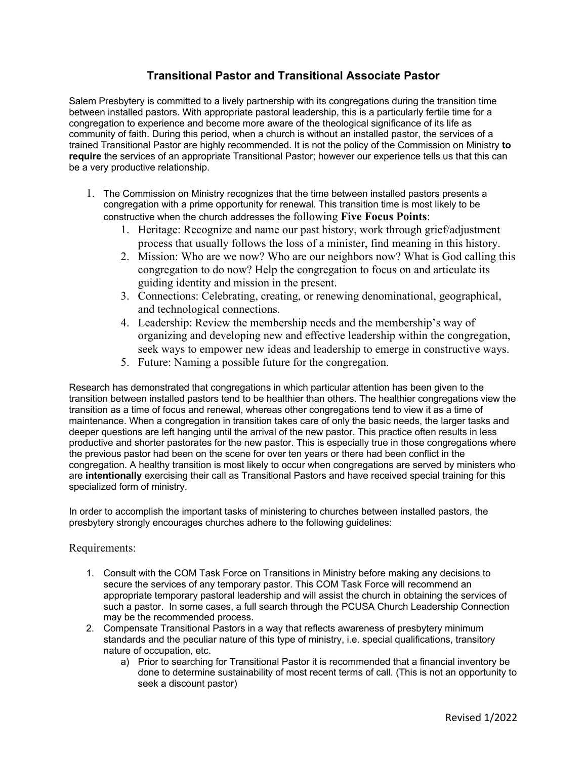## **Transitional Pastor and Transitional Associate Pastor**

Salem Presbytery is committed to a lively partnership with its congregations during the transition time between installed pastors. With appropriate pastoral leadership, this is a particularly fertile time for a congregation to experience and become more aware of the theological significance of its life as community of faith. During this period, when a church is without an installed pastor, the services of a trained Transitional Pastor are highly recommended. It is not the policy of the Commission on Ministry **to require** the services of an appropriate Transitional Pastor; however our experience tells us that this can be a very productive relationship.

- 1. The Commission on Ministry recognizes that the time between installed pastors presents a congregation with a prime opportunity for renewal. This transition time is most likely to be constructive when the church addresses the following **Five Focus Points**:
	- 1. Heritage: Recognize and name our past history, work through grief/adjustment process that usually follows the loss of a minister, find meaning in this history.
	- 2. Mission: Who are we now? Who are our neighbors now? What is God calling this congregation to do now? Help the congregation to focus on and articulate its guiding identity and mission in the present.
	- 3. Connections: Celebrating, creating, or renewing denominational, geographical, and technological connections.
	- 4. Leadership: Review the membership needs and the membership's way of organizing and developing new and effective leadership within the congregation, seek ways to empower new ideas and leadership to emerge in constructive ways.
	- 5. Future: Naming a possible future for the congregation.

Research has demonstrated that congregations in which particular attention has been given to the transition between installed pastors tend to be healthier than others. The healthier congregations view the transition as a time of focus and renewal, whereas other congregations tend to view it as a time of maintenance. When a congregation in transition takes care of only the basic needs, the larger tasks and deeper questions are left hanging until the arrival of the new pastor. This practice often results in less productive and shorter pastorates for the new pastor. This is especially true in those congregations where the previous pastor had been on the scene for over ten years or there had been conflict in the congregation. A healthy transition is most likely to occur when congregations are served by ministers who are **intentionally** exercising their call as Transitional Pastors and have received special training for this specialized form of ministry.

In order to accomplish the important tasks of ministering to churches between installed pastors, the presbytery strongly encourages churches adhere to the following guidelines:

## Requirements:

- 1. Consult with the COM Task Force on Transitions in Ministry before making any decisions to secure the services of any temporary pastor. This COM Task Force will recommend an appropriate temporary pastoral leadership and will assist the church in obtaining the services of such a pastor. In some cases, a full search through the PCUSA Church Leadership Connection may be the recommended process.
- 2. Compensate Transitional Pastors in a way that reflects awareness of presbytery minimum standards and the peculiar nature of this type of ministry, i.e. special qualifications, transitory nature of occupation, etc.
	- a) Prior to searching for Transitional Pastor it is recommended that a financial inventory be done to determine sustainability of most recent terms of call. (This is not an opportunity to seek a discount pastor)